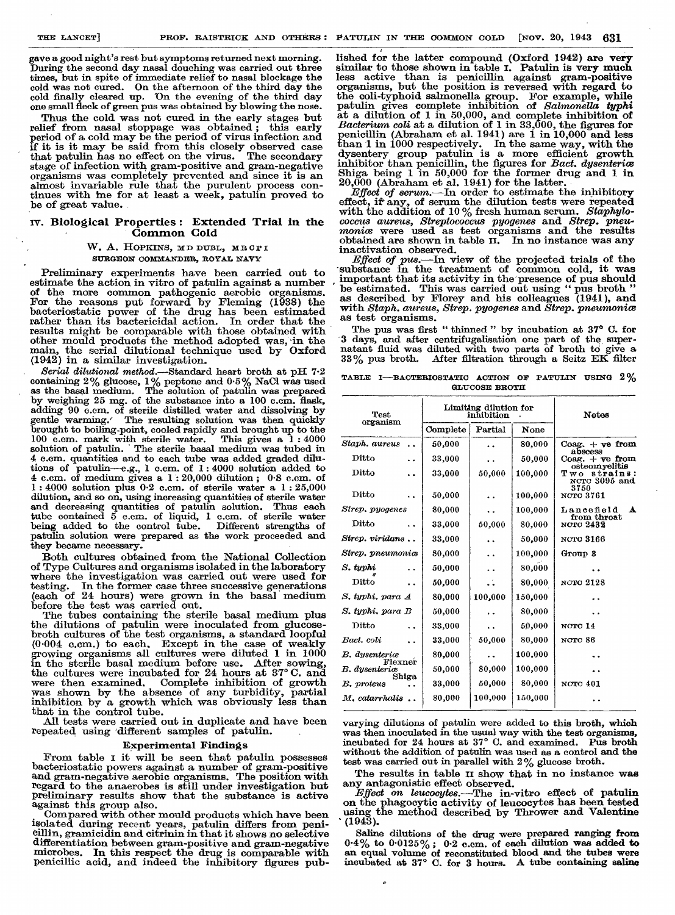gave a good night's rest but symptoms returned next morning. During the second day nasal douching was carried out three times, but in spite of immediate relief to nasal blockage the cold was not cured. On the afternoon of the third day the cold finally cleared up. On the evening of the third day one small fleck of green pus was obtained by blowing the nose.

Thus the cold was not cured in the early stages but relief from nasal stoppage was obtained ; this early period of a cold may be the period of virus infection and if it is it may be said from this closely observed case that patulin has no effect on the virus. The secondary stage of infection with gram-positive and gram-negative organisms was completely prevented and since it is an almost invariable rule that the purulent process continues with me for at least a week, patulin proved to be of great value.

# IV. Biological Properties : Extended Trial in the Common Cold

# W. A. HOPKINS, MD DUBL, MRCPI SURGEON COMMANDER, ROYAL NAVY

Preliminary experiments have been carried out to estimate the action in vitro of patulin against a number of the more common pathogenic aerobic organisms. For the reasons put forward by Fleming (1938) the bacteriostatic power of the drug has been estimated rather than its bactericidal action. In order that the results might be comparable with those obtained with other mould products the method adopted was, in the main, the serial dilutional technique used by Oxford

Serial dilutional method. - Standard heart broth at pH  $7.2$ containing  $2\%$  glucose,  $1\%$  peptone and  $0.5\%$  NaCl was used as the basal medium. The solution of patulin was prepared by weighing  $25$  mg. of the substance into a 100 c.cm. flask, adding 90 c.cm. of sterile distilled water and dissolving by gentle warming. The resulting solution was then quickly brought to boiling-point, cooled rapidly and brought up to the 100 c.em. mark with sterile water. This gives a 1:4000 100 c.cm. mark with sterile water. This gives a 1 : 4000 solution of patulin. The sterile basal medium was tubed in 4 c.cm. quantities and to each tube was added graded dilutions of patulin—e.g., 1 c.cm. of 1:4000 solution added to  $4 \text{ c.m.}$  of medium gives a  $1:20,000$  dilution;  $0.8 \text{ c.m.}$  of  $1:4000$  solution plus  $0.2$  c.cm. of sterile water a  $1:25,000$ dilution, and so on, using increasing quantities of sterile water and decreasing quantities of patulin solution. Thus each tube contained 5 c.cm. of liquid, 1 c.cm. of sterile water being added to the control tube. Different strengths of patulin solution were prepared as the work proceeded and they became necessary.

Both cultures obtained from the National Collection of Type Cultures and organisms isolated in the laboratory where the investigation was carried out were used for testing. In the former case three successive generations testing. In the former case three successive generations (each of 24 hours) were grown in the basal medium before the test was carried out.

The tubes containing the sterile basal medium plus the dilutions of patulin were inoculated from glucosebroth cultures of the test organisms, a standard loopful  $(0.004 \text{ c.cm.})$  to each. Except in the case of weakly growing organisms all cultures were diluted 1 in 1000 in the sterile basal medium before use. After sowing, the cultures were incubated for 24 hours at 37° C. and were then examined. Complete inhibition of growth was shown by the absence of any turbidity, partial inhibition by a growth which was obviously less than that in the control tube.

All tests were carried out in duplicate and have been repeated using 'different samples of patulin.

Experimental Findings<br>From table I it will be seen that patulin possesses bacteriostatic powers against a number of gram-positive and gram-negative aerobic organisms. The position with regard to the anaerobes is still under investigation but preliminary results show that the substance is active against this group also.

Compared with other mould products which have been isolated during recent years, patulin differs from peni- cillin, gramicidin and citrinin in that it shows no selective differentiation between gram-positive and gram-negative microbes. In this respect the drug is comparable with penicillic acid, and indeed the inhibitory figures pub-

lished for the latter compound (Oxford 1942) are very similar to those shown in table I. Patulin is very much less active than is penicillin against gram-positive less active than is penicillin against gram-positive organisms, but the position is reversed with regard to the coli-typhoid salmonella group. For example, while patulin gives complete inhibition of Salmonella typhicate a dilution of 1 in 50,000, and complete inhibition of Bacterium coli at a dilution of 1 in 33,000, the figures for penicillin (Abraham et al. 1941) are  $1$  in  $10,000$  and less than 1 in 1000 respectively. In the same way, with the dysentery group patulin is a more efficient growth inhibitor than penicillin, the figures for *Bact. dysenterice* Shiga being 1 in 50,000 for the former drug and 1 in  $20,000$  (Abraham et al. 1941) for the latter.

Effect of serum.—In order to estimate the inhibitory effect, if any, of serum the dilution tests were repeated with the addition of  $10\%$  fresh human serum. Staphylococcus aureus, Streptococcus pyogenes and Strep. pneu-<br>monice were used as test organisms and the results obtained are shown in table  $\overline{n}$ . In no instance was any inactivation observed.

Effect of pus.—In view of the projected trials of the -substance in the treatment of common cold, it was important that its activity in the'presence of pus should be estimated. This was carried out using " pus broth " as described by Florey and his colleagues (1941), and with Staph. aureus, Strep. pyogenes and Strep. pneumonics as test organisms.

The pus was first " thinned " by incubation at 37° C. for 3 days, and after centrifugalisation one part of the, supernatant fluid was diluted with two parts of broth to give a 33% pus broth. After filtration through a Seitz EK filter

TABLE I—BAOTERIOSTATIC ACTION OF PATULIN USING  $2\%$  GLUCOSE BROTH

| <b>Test</b><br>organism                 | Limiting dilution for<br>inhibition |                      |         | <b>Notes</b>                                          |  |
|-----------------------------------------|-------------------------------------|----------------------|---------|-------------------------------------------------------|--|
|                                         | Complete                            | Partial              | None    |                                                       |  |
| Staph. aureus<br>$\ddot{\phantom{0}}$   | 50,000                              | . .                  | 80,000  | $Coag. + ve from$                                     |  |
| Ditto                                   | 33,000                              | . .                  | 50,000  | abscess<br>Coag. $+$ $\nabla e$ from<br>osteomyelitis |  |
| Ditto<br>$\ddot{\phantom{a}}$           | 33,000                              | 50,000               | 100,000 | Two<br>strains:<br>NCTC 3095 and<br>3750              |  |
| Ditto                                   | 50,000                              |                      | 100,000 | <b>NCTO 3761</b>                                      |  |
| Strep. pyogenes                         | 80,000                              | $\ddot{\phantom{0}}$ | 100,000 | Lancefield<br>A<br>from throat                        |  |
| Ditto<br>$\ddot{\phantom{0}}$           | 33,000                              | 50,000               | 80,000  | <b>NCTC 2432</b>                                      |  |
| Strep. viridans                         | 33,000                              |                      | 50,000  | NCTO 3166                                             |  |
| Strep. pneumoniœ                        | 80,000                              | $\ddot{\phantom{0}}$ | 100,000 | Group 3                                               |  |
| S. typhi                                | 50,000                              |                      | 80,000  |                                                       |  |
| Ditto<br>$\ddot{\phantom{a}}$           | 50,000                              | $\ddot{\phantom{a}}$ | 80,000  | NOTO 2128                                             |  |
| S. typhi. para A                        | 80,000                              | 100,000              | 150,000 |                                                       |  |
| S. typhi. para B                        | 50,000                              |                      | 80,000  |                                                       |  |
| $_{\rm{Ditto}}$<br>$\ddot{\phantom{0}}$ | 33,000                              | . .                  | 50,000  | NCTC 14                                               |  |
| Bact. coli<br>. .                       | 33,000                              | 50,000               | 80,000  | NCTC 86                                               |  |
| <b>B.</b> dysenterice<br>Flexner        | 80,000                              |                      | 100,000 |                                                       |  |
| <b>B.</b> dysenteriæ                    | 50,000                              | 80,000               | 100,000 |                                                       |  |
| Shiga<br>B. proteus                     | 33,000                              | 50,000               | 80,000  | <b>NCTC 401</b>                                       |  |
| $M$ , catarrhalis                       | 80,000                              | 100,000              | 150,000 |                                                       |  |

varying dilutions of patulin were added to this broth, which was then inoculated in the usual way with the test organisms, incubated for 24 hours at 37° C. and examined. Pus broth without the addition of patulin was used as a control and the test was carried out in parallel with 2% glucose broth.

The results in table 11 show that in no instance was

any antagonistic effect observed.<br>
Effect on leucocytes.—The in-vitro effect of patulin<br>
on the phagocytic activity of leucocytes has been tested using the method described by Thrower and Valentine '(1943).

Saline dilutions of the drug were prepared ranging from  $\frac{1}{2}$ .  $0.4\%$  to  $0.0125\%$ ;  $0.2$  c.cm. of each dilution was added to an equal volume of reconstituted blood and the tubes were incubated at 37° C. for 3 hours. A tube containing saline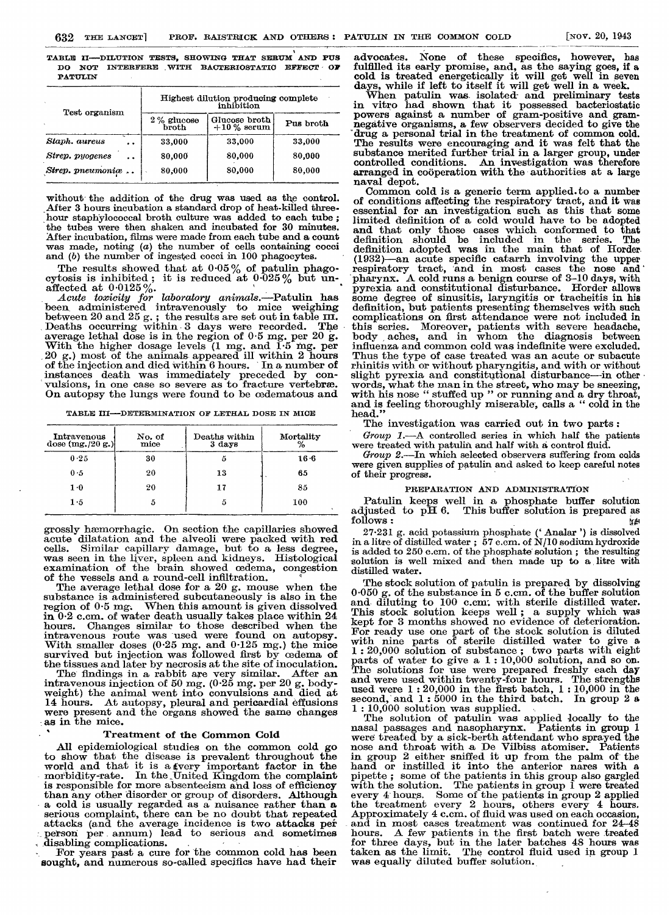TABLE II—DILUTION TESTS, SHOWING THAT SERUM AND PUS DO NOT INTERFERE WITH BACTERIOSTATIC EFFECT OF PATULIN

| Test organism              |                        | Highest dilution producing complete<br>inhibition |           |  |  |
|----------------------------|------------------------|---------------------------------------------------|-----------|--|--|
|                            | $2\%$ glucose<br>broth | Glucose broth<br>$+10\%$ serum                    | Pus broth |  |  |
| Staph. aureus<br>$\bullet$ | 33,000                 | 33,000                                            | 33,000    |  |  |
| Strep. pyogenes<br>. .     | 80,000                 | 80,000                                            | 80,000    |  |  |
| Strep. pneumoniæ           | 80,000                 | 80,000                                            | 80,000    |  |  |

without the addition of the drug was used as the control. After 3 hours incubation a standard drop of heat-killed threehour staphylococcal broth culture was added to each tube ; the tubes were then shaken and incubated for 30 minutes. After incubation, films were made from each tube and a count was made, noting (a) the number of cells containing cocci and (b) the number of ingested cocci in 100 phagocytes.

The results showed that at  $0.05\%$  of patulin phagocytosis is inhibited; it is reduced at  $0.025\%$  but un-

affected at 0.0125%.<br>Acute toxicity for laboratory animals.—Patulin has been administered intravenously to mice weighing<br>between 20 and 25 g. ; the results are set out in table III. Deaths occurring within 3 days were recorded. The average lethal dose is in the region of  $0.5$  mg. per  $20$  g.<br>With the higher dosage levels (1 mg. and  $1.5$  mg. per 20 g.) most of the animals appeared ill within 2 hours of the injection and died within 6 hours. In a number of instances death was immediately preceded by convulsions, in one case so severe as to fracture vertebræ. On autopsy the lungs were found to be cedematous and

TABLE III—DETERMINATION OF LETHAL DOSE IN MICE

| Intravenous<br>dose $(mg. / 20 g.)$ | No. of<br>mice | Deaths within<br>$3 \text{ days}$ | Mortality |  |
|-------------------------------------|----------------|-----------------------------------|-----------|--|
| 0.25                                | 30             | 5                                 | $16-6$    |  |
| 0.5                                 | 20             | 13                                | 65        |  |
| $1-0$                               | 20             | 17                                | 85        |  |
| $1 \cdot 5$                         |                | 5                                 | 100       |  |

grossly haemorrhagic. On section the capillaries showed acute dilatation and the alveoli were packed with red cells. Similar capillary damage, but to a less degree, was seen in the liver, spleen and kidneys. Histological examination of the brain showed oedema, congestion of the vessels and a round-cell infiltration.

The average lethal dose for a 20 g. mouse when the substance is administered subcutaneously is also in the region of  $0.5$  mg. When this amount is given dissolved When this amount is given dissolved in 0-2 c.cm. of water death usually takes place within 24 hours. Changes similar to those described when the intravenous route was used were found on autopsy. With smaller doses (0-25 mg. and 0-125 mg.) the mice survived but injection was followed first by oedema of the tissues and later by necrosis at the site of inoculation.

The findings in a rabbit are very similar. After an intravenous injection of 50 mg. (0-25 mg. per 20 g. body- weight) the animal went into convulsions and died at 14 hours. At autopsy, pleural and pericardial effusions were present and the organs showed the same changes as in the mice.

### Treatment of the Common Cold

.

All epidemiological studies on the common cold go to show that the disease is prevalent throughout the world and that it is a very important factor in the morbidity-rate. In the United Kingdom the complaint is responsible for more absenteeism and loss of efficiency than any other disorder or group of disorders. Although a cold is usually regarded as a nuisance rather than a serious complaint, there can be no doubt that repeated attacks (and the average incidence is two attacks per person per annum) lead to serious and sometimes disabling complications. strongs complaint, unce can be no doubt that a<br>tracks (and the average incidence is two atta-<br>person per annum) lead to serious and son<br>disabling complications.<br>For years past a cure for the common cold has

For years past a cure for the common cold has been sought, and numerous so-called specifics have had their

advocates. None of these specifics, however, has fulfilled its early promise, and, as the saying goes, if a cold is treated energetically it will get well in seven days, while if left to itself it will get well in a week.

When patulin was isolated- and preliminary tests in vitro had shown that it possessed bacteriostatic powers against a number of gram-positive and gramnegative organisms, a few observers decided to give the drug a personal trial in the treatment of common cold. The results were encouraging and it was felt that the substance merited further trial in a larger group, under controlled conditions. An investigation was therefore arranged in cooperation with the authorities at a large naval depot.

Common cold is a generic term applied.to a number of conditions affecting the respiratory tract, and it was essential for an investigation such as this that some limited definition of a cold would have to be adopted and that only those cases which conformed to that definition should be included in the series. The definition adopted was in the main that of Horder. (1932)-an acute specific catarrh involving the upper respiratory tract, 'and in most cases the nose and' pharynx. A cold runs a benign course of 3-10 days, with pyrexia and constitutional disturbance. Horder allows some degree of sinusitis, laryngitis or tracheitis in his definition, but patients presenting themselves with such complications on first attendance were not included in this series. Moreover, patients with severe headache, body, aches, and in whom the diagnosis between influenza and common cold was indefinite were excluded. Thus the type of case treated was an acute or subacute rhinitis with or without pharyngitis, and with or without slight pyrexia and constitutional disturbance-in other words, what the man in the street, who may be sneezing, with his nose " stuffed up " or running and a dry throat, and is feeling thoroughly miserable, calls a " cold in the head." head."

The investigation was carried out in two parts :

Group 1.—A controlled series in which half the patients were treated with patulin and half with a control fluid.

Group 2.—In which selected observers suffering from colds were given supplies of patulin and asked to keep careful notes of their progress.

# PREPARATION AND ADMINISTRATION

Patulin keeps well in a phosphate buffer solution adjusted to  $\bar{p}H 6$ . This buffer solution is prepared as follows:

27-231 g. acid potassium phosphate ('Analar') is dissolved in a litre of distilled water ;  $57$  c.cm. of N/10 sodium hydroxide is added to 250 c.em. of the phosphate solution ; the resulting solution is well mixed and then made up to a litre with distilled water.

The stock solution of patulin is prepared by dissolving 0-050 g. of the substance in 5 c.cm. of the buffer solution and- diluting to 100 c.cm: with sterile distilled water. This stock solution keeps well; a supply which was kept for 3 months showed no evidence of deterioration. For ready use one part of the stock solution is diluted with nine parts of sterile distilled water to give a 1 : 20,000 solution of substance ; two parts with eight parts of water to give a 1 : 10,000 solution, and so on. The solutions for use were prepared freshly each day and were used within twenty-four hours. The strengths used were  $1:20,000$  in the first batch,  $1:10,000$  in the second, and  $1 : 5000$  in the third batch. In group 2 a 1 : 10,000 solution was supplied.

The solution of patulin was applied locally to the nasal passages and nasopharynx. Patients in group 1 were treated by a sick-berth attendant who sprayed the nose and throat with a De Vilbiss atomiser. Patients<br>in group 2 either sniffed it up from the palm of the 2 either sniffed it up from the palm of the hand or instilled it into the anterior nares with a pipette ; some of the patients in this group also gargled with the solution. The patients in group 1 were treated every 4 hours. Some of the patients in group 2 applied the treatment every 2 hours, others every 4 hours. Approximately 4 c.cm. of fluid was used on each occasion, and in most cases treatment was continued for 24-48 hours. A few patients in the first batch were treated for three days, but in the later batches 48 hours was taken as the limit. The control fluid used in group 1 was equally diluted buffer solution.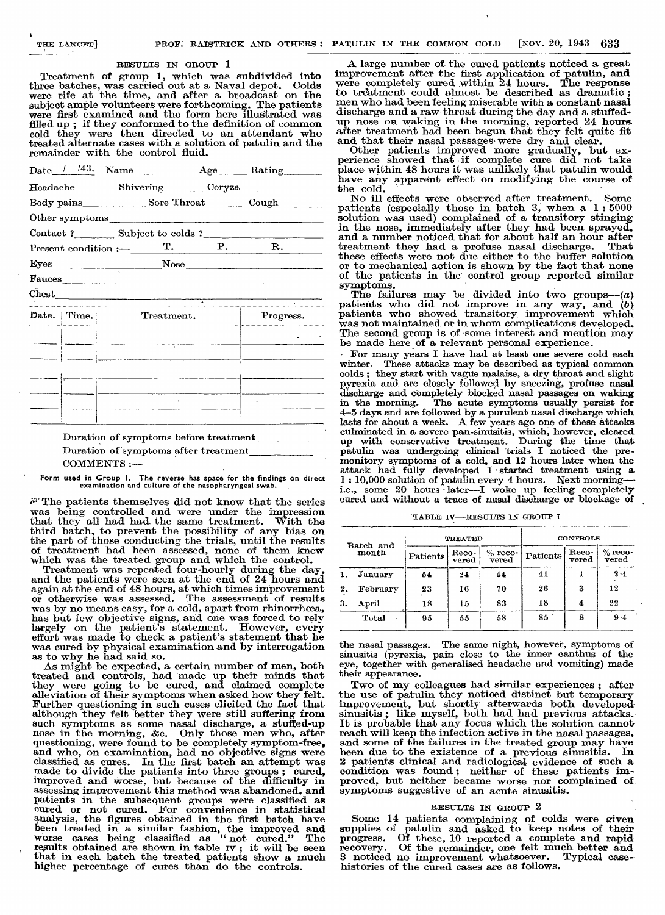#### RESULTS IN GROUP 1

Treatment of group 1, which was subdivided into three batches, was carried out at a Naval depot. Colds were rife at the time, and after a broadcast on the subject ample volunteers were forthcoming. The patients were first examined and the form here illustrated was filled up ; if they conformed to the definition of common cold they were then directed to an attendant who treated alternate cases with a solution of patulin and the remainder with the control fluid.

| $\text{Date}$ / /43. Name Age Rating                    |   |                                                                                                                                                                                                                               |
|---------------------------------------------------------|---|-------------------------------------------------------------------------------------------------------------------------------------------------------------------------------------------------------------------------------|
| Headache Shivering Coryza                               |   |                                                                                                                                                                                                                               |
|                                                         |   |                                                                                                                                                                                                                               |
| Other symptoms                                          |   |                                                                                                                                                                                                                               |
| Contact? Subject to colds?                              |   |                                                                                                                                                                                                                               |
|                                                         |   |                                                                                                                                                                                                                               |
|                                                         |   |                                                                                                                                                                                                                               |
| Fauces                                                  |   |                                                                                                                                                                                                                               |
|                                                         |   |                                                                                                                                                                                                                               |
| $\textbf{Date.} \mid \text{Time.} \mid \text{} \text{}$ | . | Progress.                                                                                                                                                                                                                     |
|                                                         |   |                                                                                                                                                                                                                               |
|                                                         |   |                                                                                                                                                                                                                               |
|                                                         |   |                                                                                                                                                                                                                               |
|                                                         |   |                                                                                                                                                                                                                               |
|                                                         |   | the control of the company of the control of the control of the control of the control of the control of the control of the control of the control of the control of the control of the control of the control of the control |
|                                                         |   |                                                                                                                                                                                                                               |

Duration of symptoms before treatment Duration of'symptoms after treatment COMMENTS :—

Form used in Group I. The reverse has space for the findings on direct examination and culture of the nasopharyngeal swab.

 $\mathbb{F}$  The patients themselves did not know that the series was being controlled and were under the impression that they all had had, the same treatment. With the third batch, to prevent the possibility of any bias on the part of those conducting the trials, until the results of treatment had been assessed, none of them knew which was the treated group and which the control.

Treatment was repeated four-hourly during the day, and the patients were seen at the end of 24 hours and again at the end of 48 hours, at which times improvement or otherwise was assessed. The assessment of results was by no means easy, for a cold, apart from rhinorrhoea, has but few objective signs, and one was forced to rely largely on the patient's statement. However, every effort was made to check a patient's statement that he was cured by physical examination and by interrogation as to why he had said so.

As might be expected, a certain number of men, both treated and controls, had 'made up their minds that they were going to be cured, and claimed complete alleviation of their symptoms when asked how they felt. Further questioning in such cases elicited the fact that although they felt better they were still suffering from such symptoms as some nasal discharge, a stuffed-up nose in the morning, &c. Only those men who, after questioning, were found to be completely symptom-free, and who, on examination, had no objective signs were classified as cures. In the first batch an attempt was In the first batch an attempt was made to divide the patients into three groups; cured, improved and worse, but because of the difficulty in assessing improvement this method was abandoned, and patients in the subsequent groups were classified as cured or not cured. For convenience in statistical analysis, the figures obtained in the first batch have been treated in a similar fashion, the improved and worse cases being classified as " not cured." The were viewed in a similar resultion, the improvements worse cases being classified as "not cured." The results obtained are shown in table rv; it will be seen that in each batch the treated patients show a much higher percentage of cures than do the controls.

A large number of the cured patients noticed a great improvement after the first application of patulin, and were completely cured within 24 hours. The response to treatment could almost be described as dramatic ; men who had been-feeling miserable with a constant nasal discharge and a raw throat during the day and a stuffedup nose on waking in the morning, reported 24 hours after treatment had been begun that they felt quite fit and that their nasal passages. were dry and clear.

Other patients improved more gradually, but experience showed that if complete cure did not take place within 48 hours it was unlikely that patulin would have any apparent effect on modifying the course of the cold.

No ill effects were observed after treatment. Some patients (especially those in batch 3, when a 1:5000 solution was used) complained of a transitory stinging solution was used) complained of a transitory stinging<br>in the nose, immediately after they had been sprayed,<br>and a number noticed that for about half an hour after treatment they had a profuse nasal discharge. That these effects were not due either to the buffer solution or to mechanical action is shown by the fact that none of the patients in the control group reported similar

symptoms. The failures may be divided into two groups— $(a)$ <br>patients who did not improve in any way, and  $(b)$ <br>patients who showed transitory improvement which<br>was not maintained or in whom complications developed.<br>The seco The second group is of some interest and mention may be made here of a relevant personal experience.

For many years I have had at least one severe cold each winter. These attacks may be described as typical common colds ; they start with vague malaise, a dry throat and slight pyrexia and are closely followed by sneezing, profuse nasal discharge and completely blocked nasal passages on waking in the morning. The acute symptoms usually persist for 4-5 days and are followed by a purulent nasal discharge which lasts for about a week. A few years ago one of these attacks culminated in a severe pan-sinusitis, which, however, cleared up with conservative treatment. During the time that patulin was, undergoing clinical trials I noticed the pre monitory symptoms of a cold, and 12 hours later when the attack had fully developed I started treatment using a 1 : 10,000 solution of patulin every 4 hours. Next morningi.e., some 20 hours later—I woke up feeling completely cured and without a trace of nasal discharge or blockage of

TABLE IV—RESULTS IN GROUP I

| Batch and<br>month |                    | <b>TREATED</b> |                         |                    | <b>CONTROLS</b> |                             |                                             |
|--------------------|--------------------|----------------|-------------------------|--------------------|-----------------|-----------------------------|---------------------------------------------|
|                    |                    | Patients       | Reco-<br>$_{\rm vered}$ | $%$ reco-<br>vered | Patients        | Reco-<br>$_{\rm \bf vered}$ | $\%$ reco-<br>$\boldsymbol{\mathrm{vered}}$ |
| 1.                 | January            | 54             | 24                      | 44                 | 41              |                             | 2.4                                         |
| 2.                 | February           | 23             | 16                      | 70                 | 26              | 3                           | 12                                          |
| 3.                 | $\bm{\Delta}$ pril | 18             | 15                      | 83                 | 18              | 4                           | 22                                          |
|                    | Total<br>٠.        | 95             | 55                      | 58                 | 85              | 8                           | $9-4$                                       |

the nasal passages. The same night, however, symptoms of sinusitis (pyrexia, pain close to the inner canthus of the eye, together with generalised headache and vomiting) made their appearance.

Two of my colleagues had similar experiences; after the use of patulin they noticed distinct but temporary the use of patulin they noticed distinct but temporary improvement, but shortly afterwards both developed sinusitis ; like myself, both had had previous attacks.- It is probable that any focus which the solution cannot reach will keep the infection active in the nasal passages, and some of the failures in the treated group may have been due to the existence of a previous sinusitis. In 2 patients clinical and radiological evidence of such a condition was found; neither of these patients improved, but neither became worse nor complained of symptoms suggestive of an acute sinusitis.

## RESULTS IN GROUP 2

Some 14 patients complaining of colds were given supplies of patulin and asked to keep notes of their progress. Of these, 10 reported a complete and rapid-recovery. Of the remainder, one felt much better and 3 noticed no improvement whatsoever. Typical case-, histories of the cured cases are as follows.